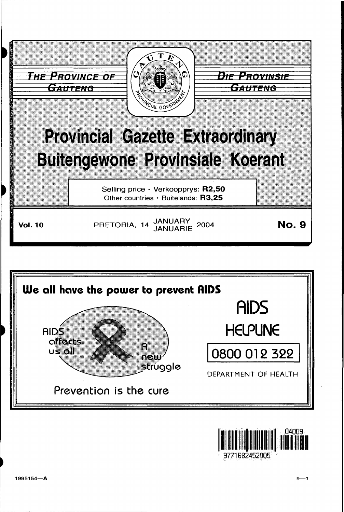





9771682452005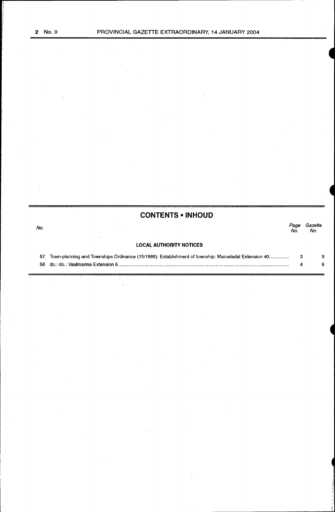# **CONTENTS •INHOUD**

| No. |                                                                                                     | Page<br>No. | Gazette<br>No. |  |
|-----|-----------------------------------------------------------------------------------------------------|-------------|----------------|--|
|     | <b>LOCAL AUTHORITY NOTICES</b>                                                                      |             |                |  |
| 57  | Town-planning and Townships Ordinance (15/1986): Establishment of township: Maroeladal Extension 40 |             | 9              |  |
|     |                                                                                                     |             |                |  |

ł.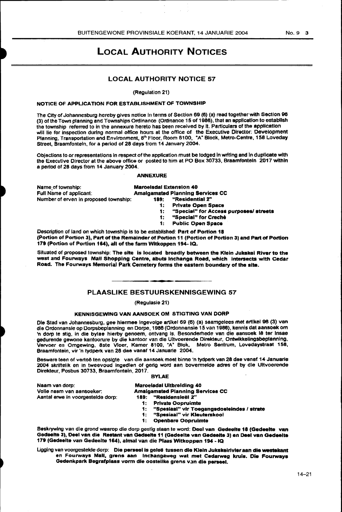$\bar{\omega}$ 

# LOCAL AUTHORITY NOTICES

# LOCAL AUTHORITY NOTICE 57

(Regulation 21)

## NOTICE OF APPLICATION FOR ESTABLISHMENT OF TOWNSHIP

 $\sim$ 

 $\mathcal{L}_{\rm{eff}}$ 

The City of Johannesburg hereby gives notice in terms of Section 69 (6) (a) read together with Section 96 (3) of the Town planning and Townships Ordinance (Ordinance 15 of 1986), that an application to establish the township referred to in the annexure hereto has been received by lt. Particulars of the application will lie for Inspection during normal office hours at the office of the Executive Director: Development Planning, Transportation and Environment, 8<sup>th</sup> Floor, Room 8100, "A" Block, Metro-Centre, 158 Loveday Street, Braamfonteln, for a period of 28 days from 14 January 2004.

Objections to or representations in respect of the application must be lodged In writing and In duplicate with the Executive Director at the above office or posted to him at PO Box 30733, Braamfonteln 2017 within a period of 28 days from 14 January 2004.

#### ANNEXURE

Name<sub>.</sub>oftownship: **Maroeladal Extension 40**<br>
Full Name of applicant: **Amalgamated Planning S** Number of erven in proposed township: 189:

# Amalgamated Planning Services CC<br>189: "Residential 2"

Private Open Space

1: "Special" for Access purposes/ streets<br>1: "Special" for Creche

- "Special" for Creche
- 1: Public Open Space

Description of land on which township is to be established: Part of Portion 18 (Portion of Portion 3), Part of the Remainder of Portion 11 {Portion of Portion 3) and Part of Portion 179 (Portion of Portion 164), all of the farm Wltkoppen 194-IQ.

Situated of proposed township: The site is located broadly between the Klein Jukekai River to the west and Fourways Mall Shopping centre, abuts lnchanga Road, which intersects with Cedar Road. The Fourways Memorial Park Cemetery forms the eastern boundary of the site.

## PLAASLIKE BESTUURSKENNISGEWING 57

# (Regulasie 21)

# KENNISGEWING VAN AANSOEK OM STIGTING VAN DORP

Ole Stad van Johannesburg, gee hiermee lngevolge artikel 69 (6) (a) saamgelees met artlkel 98 (3) van die Ordonnansle op Dorpsbeplanning en Dorpe, 1986 (Ordonnansie 15 van 1988), kennis dat aansoek om 'n dorp te stig, in die bylae hierby genoem, ontvang Is. Besonderhede van die aansoek lê ter insae gedurende gewone kantoorure by die kantoor van die Uitvoerende Direkteur, Ontwikkelingsbeplanning, Vervoer en Omgewing, 8ste Vloer, Kamer 8100, "A" Blok, Metro Sentrum, Lovedaystraat 158, Braamfontein, vir 'n tydperk van 28 dae vanaf 14 Januarle 2004.

Besware teen of vertoë ten opsigte van die aansoek moet binne 'n tydperk van 28 dee vanaf 14 Januarie 2004 skrirtelik en in tweevoud ingedien of gerig word aan bovermelde adres of by die Ultvoerende Direkleur, Posbus 30733, Braamfontein. 2017.

#### BYLAE

| Naam van dorp:                    |  |
|-----------------------------------|--|
| Volle naam van aansoeker.         |  |
| Aantal erwe in voorgestelde dorp: |  |

#### Maroeladal Ultbreldlng 40 Amalgamated Planning Services CC 189: "Resldensleel *%"*

- 
- 1: Private Oopruimte<br>1: "Soesiaal" vir Toe 1: "Spesiaal" vir Toegangsdoeleindes / strate<br>1: "Spesiaal" vir Kleuterskool
- 1: "Spesiaal" vir Kleuterskool<br>1: Openbare Oopruimte
- Openbare Oopruimte

Beskrywing van die grond waarop die dorp gestig staan te word: Deel van Gedeelte 18 (Gedeelte van Gadeelta 3), Deal van die Restant van Gedeelte 11 (Gedeelte van Gedeelte 3) en Deal van Oedeelte 171 (Gedeelte van Gadeelte 164), almal van die Plaas Witkoppan 194 -IQ

Ligging van voorgestelde dorp: Die perseel is geleë tussen die Klein Jukskeirlvler aan die westekant en Fourways Mall, grens aan Inchangaweg wat met Cedarweg kruis. Die Fourways Gedenkpark Begrafplaas vorm die oostelike grens van die perseel.